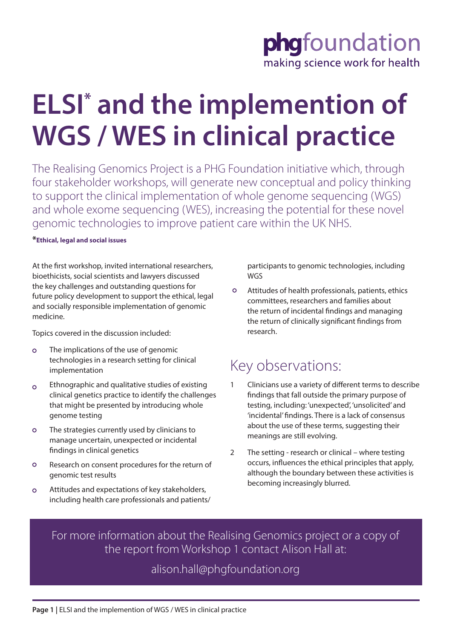# phgfoundation making science work for health

# **ELSI\* and the implemention of WGS / WES in clinical practice**

The Realising Genomics Project is a PHG Foundation initiative which, through four stakeholder workshops, will generate new conceptual and policy thinking to support the clinical implementation of whole genome sequencing (WGS) and whole exome sequencing (WES), increasing the potential for these novel genomic technologies to improve patient care within the UK NHS.

#### **\*Ethical, legal and social issues**

At the first workshop, invited international researchers, bioethicists, social scientists and lawyers discussed the key challenges and outstanding questions for future policy development to support the ethical, legal and socially responsible implementation of genomic medicine.

Topics covered in the discussion included:

- $\circ$ The implications of the use of genomic technologies in a research setting for clinical implementation
- Ethnographic and qualitative studies of existing  $\circ$ clinical genetics practice to identify the challenges that might be presented by introducing whole genome testing
- $\circ$ The strategies currently used by clinicians to manage uncertain, unexpected or incidental findings in clinical genetics
- $\circ$ Research on consent procedures for the return of genomic test results
- Attitudes and expectations of key stakeholders,  $\circ$ including health care professionals and patients/

participants to genomic technologies, including WGS

 $\circ$ Attitudes of health professionals, patients, ethics committees, researchers and families about the return of incidental findings and managing the return of clinically significant findings from research.

## Key observations:

- 1 Clinicians use a variety of different terms to describe findings that fall outside the primary purpose of testing, including: 'unexpected', 'unsolicited' and 'incidental' findings. There is a lack of consensus about the use of these terms, suggesting their meanings are still evolving.
- 2 The setting research or clinical where testing occurs, influences the ethical principles that apply, although the boundary between these activities is becoming increasingly blurred.

For more information about the Realising Genomics project or a copy of the report from Workshop 1 contact Alison Hall at:

### alison.hall@phgfoundation.org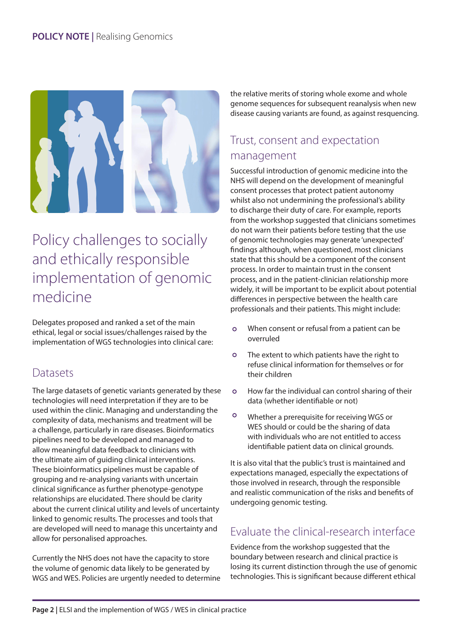

## Policy challenges to socially and ethically responsible implementation of genomic medicine

Delegates proposed and ranked a set of the main ethical, legal or social issues/challenges raised by the implementation of WGS technologies into clinical care:

### **Datasets**

The large datasets of genetic variants generated by these technologies will need interpretation if they are to be used within the clinic. Managing and understanding the complexity of data, mechanisms and treatment will be a challenge, particularly in rare diseases. Bioinformatics pipelines need to be developed and managed to allow meaningful data feedback to clinicians with the ultimate aim of guiding clinical interventions. These bioinformatics pipelines must be capable of grouping and re-analysing variants with uncertain clinical significance as further phenotype-genotype relationships are elucidated. There should be clarity about the current clinical utility and levels of uncertainty linked to genomic results. The processes and tools that are developed will need to manage this uncertainty and allow for personalised approaches.

Currently the NHS does not have the capacity to store the volume of genomic data likely to be generated by WGS and WES. Policies are urgently needed to determine the relative merits of storing whole exome and whole genome sequences for subsequent reanalysis when new disease causing variants are found, as against resquencing.

## Trust, consent and expectation management

Successful introduction of genomic medicine into the NHS will depend on the development of meaningful consent processes that protect patient autonomy whilst also not undermining the professional's ability to discharge their duty of care. For example, reports from the workshop suggested that clinicians sometimes do not warn their patients before testing that the use of genomic technologies may generate 'unexpected' findings although, when questioned, most clinicians state that this should be a component of the consent process. In order to maintain trust in the consent process, and in the patient-clinician relationship more widely, it will be important to be explicit about potential differences in perspective between the health care professionals and their patients. This might include:

- When consent or refusal from a patient can be  $\Omega$ overruled
- $\circ$ The extent to which patients have the right to refuse clinical information for themselves or for their children
- $\circ$ How far the individual can control sharing of their data (whether identifiable or not)
- $\circ$ Whether a prerequisite for receiving WGS or WES should or could be the sharing of data with individuals who are not entitled to access identifiable patient data on clinical grounds.

It is also vital that the public's trust is maintained and expectations managed, especially the expectations of those involved in research, through the responsible and realistic communication of the risks and benefits of undergoing genomic testing.

### Evaluate the clinical-research interface

Evidence from the workshop suggested that the boundary between research and clinical practice is losing its current distinction through the use of genomic technologies. This is significant because different ethical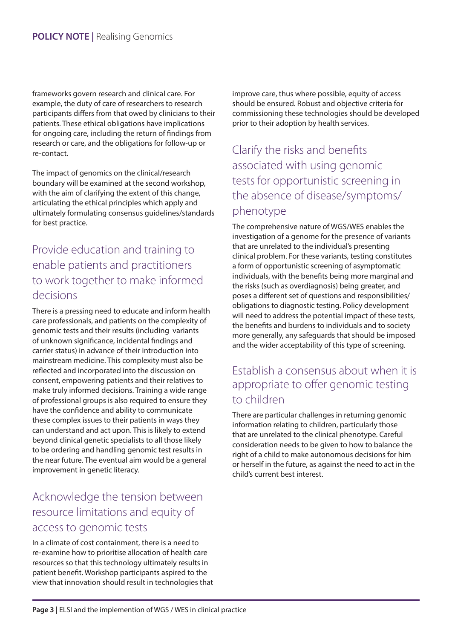frameworks govern research and clinical care. For example, the duty of care of researchers to research participants differs from that owed by clinicians to their patients. These ethical obligations have implications for ongoing care, including the return of findings from research or care, and the obligations for follow-up or re-contact.

The impact of genomics on the clinical/research boundary will be examined at the second workshop, with the aim of clarifying the extent of this change, articulating the ethical principles which apply and ultimately formulating consensus guidelines/standards for best practice.

### Provide education and training to enable patients and practitioners to work together to make informed decisions

There is a pressing need to educate and inform health care professionals, and patients on the complexity of genomic tests and their results (including variants of unknown significance, incidental findings and carrier status) in advance of their introduction into mainstream medicine. This complexity must also be reflected and incorporated into the discussion on consent, empowering patients and their relatives to make truly informed decisions. Training a wide range of professional groups is also required to ensure they have the confidence and ability to communicate these complex issues to their patients in ways they can understand and act upon. This is likely to extend beyond clinical genetic specialists to all those likely to be ordering and handling genomic test results in the near future. The eventual aim would be a general improvement in genetic literacy.

### Acknowledge the tension between resource limitations and equity of access to genomic tests

In a climate of cost containment, there is a need to re-examine how to prioritise allocation of health care resources so that this technology ultimately results in patient benefit. Workshop participants aspired to the view that innovation should result in technologies that improve care, thus where possible, equity of access should be ensured. Robust and objective criteria for commissioning these technologies should be developed prior to their adoption by health services.

## Clarify the risks and benefits associated with using genomic tests for opportunistic screening in the absence of disease/symptoms/ phenotype

The comprehensive nature of WGS/WES enables the investigation of a genome for the presence of variants that are unrelated to the individual's presenting clinical problem. For these variants, testing constitutes a form of opportunistic screening of asymptomatic individuals, with the benefits being more marginal and the risks (such as overdiagnosis) being greater, and poses a different set of questions and responsibilities/ obligations to diagnostic testing. Policy development will need to address the potential impact of these tests, the benefits and burdens to individuals and to society more generally, any safeguards that should be imposed and the wider acceptability of this type of screening.

#### Establish a consensus about when it is appropriate to offer genomic testing to children

There are particular challenges in returning genomic information relating to children, particularly those that are unrelated to the clinical phenotype. Careful consideration needs to be given to how to balance the right of a child to make autonomous decisions for him or herself in the future, as against the need to act in the child's current best interest.